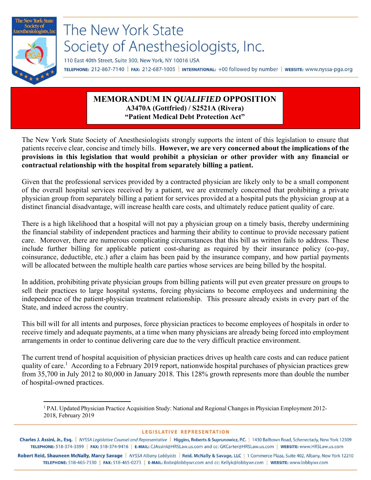

## **MEMORANDUM IN** *QUALIFIED* **OPPOSITION A3470A (Gottfried) / S2521A (Rivera) "Patient Medical Debt Protection Act"**

The New York State Society of Anesthesiologists strongly supports the intent of this legislation to ensure that patients receive clear, concise and timely bills. **However, we are very concerned about the implications of the provisions in this legislation that would prohibit a physician or other provider with any financial or contractual relationship with the hospital from separately billing a patient.** 

Given that the professional services provided by a contracted physician are likely only to be a small component of the overall hospital services received by a patient, we are extremely concerned that prohibiting a private physician group from separately billing a patient for services provided at a hospital puts the physician group at a distinct financial disadvantage, will increase health care costs, and ultimately reduce patient quality of care.

There is a high likelihood that a hospital will not pay a physician group on a timely basis, thereby undermining the financial stability of independent practices and harming their ability to continue to provide necessary patient care. Moreover, there are numerous complicating circumstances that this bill as written fails to address. These include further billing for applicable patient cost-sharing as required by their insurance policy (co-pay, coinsurance, deductible, etc.) after a claim has been paid by the insurance company, and how partial payments will be allocated between the multiple health care parties whose services are being billed by the hospital.

In addition, prohibiting private physician groups from billing patients will put even greater pressure on groups to sell their practices to large hospital systems, forcing physicians to become employees and undermining the independence of the patient-physician treatment relationship. This pressure already exists in every part of the State, and indeed across the country.

This bill will for all intents and purposes, force physician practices to become employees of hospitals in order to receive timely and adequate payments, at a time when many physicians are already being forced into employment arrangements in order to continue delivering care due to the very difficult practice environment.

The current trend of hospital acquisition of physician practices drives up health care costs and can reduce patient quality of care.<sup>1</sup> According to a February 2019 report, nationwide hospital purchases of physician practices grew from 35,700 in July 2012 to 80,000 in January 2018. This 128% growth represents more than double the number of hospital-owned practices.

## **LEGISLATIVE REPRESENTATION**

Charles J. Assini, Jr., Esq. | NYSSA Legislative Counsel and Representative | Higgins, Roberts & Suprunowicz, P.C. | 1430 Balltown Road, Schenectady, New York 12309 TELEPHONE: 518-374-3399 | FAX: 518-374-9416 | E-MAIL: CJAssini@HRSLaw.us.com and cc: GKCarter@HRSLaw.us.com | WEBSITE: www.HRSLaw.us.com

Robert Reid, Shauneen McNally, Marcy Savage | NYSSA Albany Lobbyists | Reid, McNally & Savage, LLC | 1 Commerce Plaza, Suite 402, Albany, New York 12210 TELEPHONE: 518-465-7330 | FAX: 518-465-0273 | E-MAIL: Bobr@lobbywr.com and cc: Kellyk@lobbywr.com | WEBSITE: www.lobbywr.com

<sup>1</sup> 1 PAI. Updated Physician Practice Acquisition Study: National and Regional Changes in Physician Employment 2012- 2018, February 2019